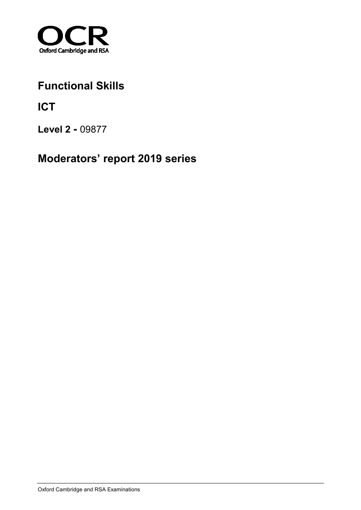

## **Functional Skills**

**ICT**

**Level 2 -** 09877

**Moderators' report 2019 series**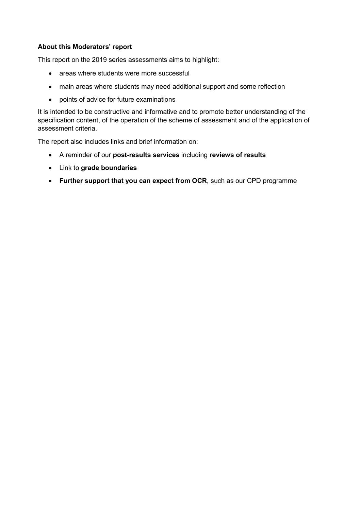#### **About this Moderators' report**

This report on the 2019 series assessments aims to highlight:

- areas where students were more successful
- main areas where students may need additional support and some reflection
- points of advice for future examinations

It is intended to be constructive and informative and to promote better understanding of the specification content, of the operation of the scheme of assessment and of the application of assessment criteria.

The report also includes links and brief information on:

- A reminder of our **post-results services** including **reviews of results**
- Link to **grade boundaries**
- **Further support that you can expect from OCR**, such as our CPD programme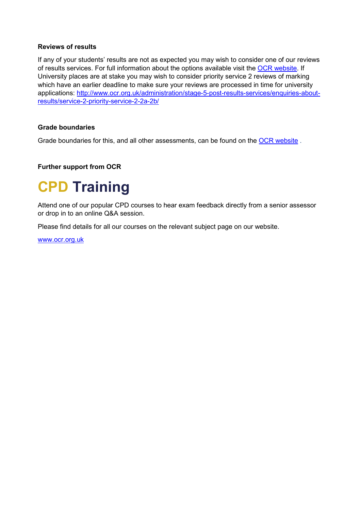#### **Reviews of results**

If any of your students' results are not as expected you may wish to consider one of our reviews of results services. For full information about the options available visit the [OCR website.](http://ocr.org.uk/administration/stage-5-post-results-services/enquiries-about-results/) If University places are at stake you may wish to consider priority service 2 reviews of marking which have an earlier deadline to make sure your reviews are processed in time for university applications: [http://www.ocr.org.uk/administration/stage-5-post-results-services/enquiries-about](http://www.ocr.org.uk/administration/stage-5-post-results-services/enquiries-about-results/service-2-priority-service-2-2a-2b/)[results/service-2-priority-service-2-2a-2b/](http://www.ocr.org.uk/administration/stage-5-post-results-services/enquiries-about-results/service-2-priority-service-2-2a-2b/)

#### **Grade boundaries**

Grade boundaries for this, and all other assessments, can be found on the [OCR website](http://www.ocr.org.uk/administration/stage-4-results/grade-boundaries/).

#### **Further support from OCR**

# **CPD Training**

Attend one of our popular CPD courses to hear exam feedback directly from a senior assessor or drop in to an online Q&A session.

Please find details for all our courses on the relevant subject page on our website.

[www.ocr.org.uk](https://www.ocr.org.uk/)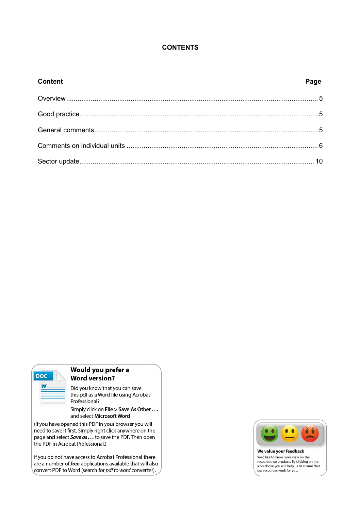#### **CONTENTS**

| <b>Content</b> | Page |
|----------------|------|
|                |      |
|                |      |
|                |      |
|                |      |
|                |      |



#### Would you prefer a **Word version?**

Did you know that you can save this pdf as a Word file using Acrobat Professional?

Simply click on File > Save As Other ... and select Microsoft Word

(If you have opened this PDF in your browser you will need to save it first. Simply right click anywhere on the page and select Save as . . . to save the PDF. Then open the PDF in Acrobat Professional.)

If you do not have access to Acrobat Professional there are a number of free applications available that will also convert PDF to Word (search for *pdf to word* converter).



We value your feedback We'd like to know your view on the<br>resources we produce. By clicking on the<br>icon above you will help us to ensure that our resources work for you.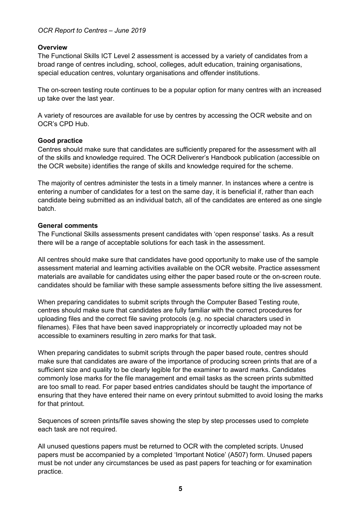#### *OCR Report to Centres – June 2019*

#### <span id="page-4-0"></span>**Overview**

The Functional Skills ICT Level 2 assessment is accessed by a variety of candidates from a broad range of centres including, school, colleges, adult education, training organisations, special education centres, voluntary organisations and offender institutions.

The on-screen testing route continues to be a popular option for many centres with an increased up take over the last year.

A variety of resources are available for use by centres by accessing the OCR website and on OCR's CPD Hub.

#### <span id="page-4-1"></span>**Good practice**

Centres should make sure that candidates are sufficiently prepared for the assessment with all of the skills and knowledge required. The OCR Deliverer's Handbook publication (accessible on the OCR website) identifies the range of skills and knowledge required for the scheme.

The majority of centres administer the tests in a timely manner. In instances where a centre is entering a number of candidates for a test on the same day, it is beneficial if, rather than each candidate being submitted as an individual batch, all of the candidates are entered as one single batch.

#### <span id="page-4-2"></span>**General comments**

The Functional Skills assessments present candidates with 'open response' tasks. As a result there will be a range of acceptable solutions for each task in the assessment.

All centres should make sure that candidates have good opportunity to make use of the sample assessment material and learning activities available on the OCR website. Practice assessment materials are available for candidates using either the paper based route or the on-screen route. candidates should be familiar with these sample assessments before sitting the live assessment.

When preparing candidates to submit scripts through the Computer Based Testing route, centres should make sure that candidates are fully familiar with the correct procedures for uploading files and the correct file saving protocols (e.g. no special characters used in filenames). Files that have been saved inappropriately or incorrectly uploaded may not be accessible to examiners resulting in zero marks for that task.

When preparing candidates to submit scripts through the paper based route, centres should make sure that candidates are aware of the importance of producing screen prints that are of a sufficient size and quality to be clearly legible for the examiner to award marks. Candidates commonly lose marks for the file management and email tasks as the screen prints submitted are too small to read. For paper based entries candidates should be taught the importance of ensuring that they have entered their name on every printout submitted to avoid losing the marks for that printout.

Sequences of screen prints/file saves showing the step by step processes used to complete each task are not required.

All unused questions papers must be returned to OCR with the completed scripts. Unused papers must be accompanied by a completed 'Important Notice' (A507) form. Unused papers must be not under any circumstances be used as past papers for teaching or for examination practice.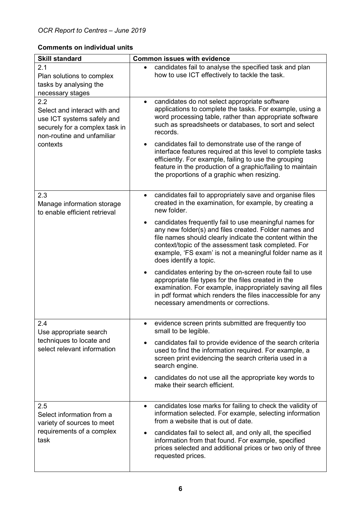### <span id="page-5-0"></span>**Comments on individual units**

| <b>Skill standard</b>                                                                                                                         | <b>Common issues with evidence</b>                                                                                                                                                                                                                                                                                                                                                                                                                                                                                                                                                                                                                                                                                                                                                         |
|-----------------------------------------------------------------------------------------------------------------------------------------------|--------------------------------------------------------------------------------------------------------------------------------------------------------------------------------------------------------------------------------------------------------------------------------------------------------------------------------------------------------------------------------------------------------------------------------------------------------------------------------------------------------------------------------------------------------------------------------------------------------------------------------------------------------------------------------------------------------------------------------------------------------------------------------------------|
| 2.1<br>Plan solutions to complex<br>tasks by analysing the<br>necessary stages                                                                | candidates fail to analyse the specified task and plan<br>how to use ICT effectively to tackle the task.                                                                                                                                                                                                                                                                                                                                                                                                                                                                                                                                                                                                                                                                                   |
| 2.2<br>Select and interact with and<br>use ICT systems safely and<br>securely for a complex task in<br>non-routine and unfamiliar<br>contexts | candidates do not select appropriate software<br>$\bullet$<br>applications to complete the tasks. For example, using a<br>word processing table, rather than appropriate software<br>such as spreadsheets or databases, to sort and select<br>records.<br>candidates fail to demonstrate use of the range of<br>$\bullet$<br>interface features required at this level to complete tasks<br>efficiently. For example, failing to use the grouping<br>feature in the production of a graphic/failing to maintain<br>the proportions of a graphic when resizing.                                                                                                                                                                                                                             |
| 2.3<br>Manage information storage<br>to enable efficient retrieval                                                                            | candidates fail to appropriately save and organise files<br>$\bullet$<br>created in the examination, for example, by creating a<br>new folder.<br>candidates frequently fail to use meaningful names for<br>$\bullet$<br>any new folder(s) and files created. Folder names and<br>file names should clearly indicate the content within the<br>context/topic of the assessment task completed. For<br>example, 'FS exam' is not a meaningful folder name as it<br>does identify a topic.<br>candidates entering by the on-screen route fail to use<br>$\bullet$<br>appropriate file types for the files created in the<br>examination. For example, inappropriately saving all files<br>in pdf format which renders the files inaccessible for any<br>necessary amendments or corrections. |
| 24<br>Use appropriate search<br>techniques to locate and<br>select relevant information                                                       | evidence screen prints submitted are frequently too<br>٠<br>small to be legible.<br>candidates fail to provide evidence of the search criteria<br>used to find the information required. For example, a<br>screen print evidencing the search criteria used in a<br>search engine.<br>candidates do not use all the appropriate key words to<br>$\bullet$<br>make their search efficient.                                                                                                                                                                                                                                                                                                                                                                                                  |
| 2.5<br>Select information from a<br>variety of sources to meet<br>requirements of a complex<br>task                                           | candidates lose marks for failing to check the validity of<br>$\bullet$<br>information selected. For example, selecting information<br>from a website that is out of date.<br>candidates fail to select all, and only all, the specified<br>$\bullet$<br>information from that found. For example, specified<br>prices selected and additional prices or two only of three<br>requested prices.                                                                                                                                                                                                                                                                                                                                                                                            |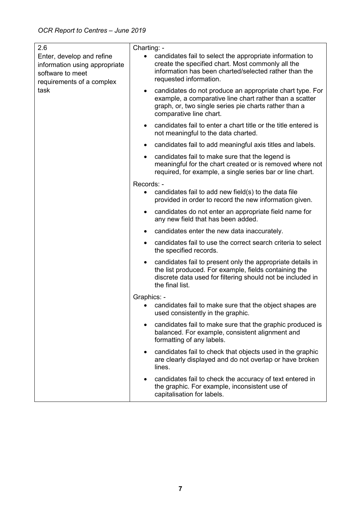| 2.6                                                                                                                 | Charting: -                                                                                                                                                                                                          |
|---------------------------------------------------------------------------------------------------------------------|----------------------------------------------------------------------------------------------------------------------------------------------------------------------------------------------------------------------|
| Enter, develop and refine<br>information using appropriate<br>software to meet<br>requirements of a complex<br>task | candidates fail to select the appropriate information to<br>$\bullet$<br>create the specified chart. Most commonly all the<br>information has been charted/selected rather than the<br>requested information.        |
|                                                                                                                     | candidates do not produce an appropriate chart type. For<br>$\bullet$<br>example, a comparative line chart rather than a scatter<br>graph, or, two single series pie charts rather than a<br>comparative line chart. |
|                                                                                                                     | candidates fail to enter a chart title or the title entered is<br>$\bullet$<br>not meaningful to the data charted.                                                                                                   |
|                                                                                                                     | candidates fail to add meaningful axis titles and labels.<br>$\bullet$                                                                                                                                               |
|                                                                                                                     | candidates fail to make sure that the legend is<br>$\bullet$<br>meaningful for the chart created or is removed where not<br>required, for example, a single series bar or line chart.                                |
|                                                                                                                     | Records: -                                                                                                                                                                                                           |
|                                                                                                                     | candidates fail to add new field(s) to the data file<br>$\bullet$<br>provided in order to record the new information given.                                                                                          |
|                                                                                                                     | candidates do not enter an appropriate field name for<br>any new field that has been added.                                                                                                                          |
|                                                                                                                     | candidates enter the new data inaccurately.<br>$\bullet$                                                                                                                                                             |
|                                                                                                                     | candidates fail to use the correct search criteria to select<br>$\bullet$<br>the specified records.                                                                                                                  |
|                                                                                                                     | candidates fail to present only the appropriate details in<br>$\bullet$<br>the list produced. For example, fields containing the<br>discrete data used for filtering should not be included in<br>the final list.    |
|                                                                                                                     | Graphics: -                                                                                                                                                                                                          |
|                                                                                                                     | candidates fail to make sure that the object shapes are<br>used consistently in the graphic.                                                                                                                         |
|                                                                                                                     | candidates fail to make sure that the graphic produced is<br>balanced. For example, consistent alignment and<br>formatting of any labels.                                                                            |
|                                                                                                                     | candidates fail to check that objects used in the graphic<br>$\bullet$<br>are clearly displayed and do not overlap or have broken<br>lines.                                                                          |
|                                                                                                                     | candidates fail to check the accuracy of text entered in<br>the graphic. For example, inconsistent use of<br>capitalisation for labels.                                                                              |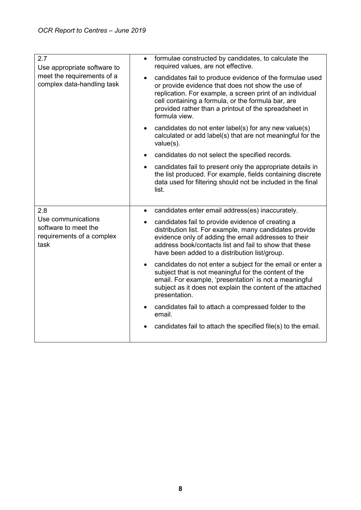| 2.7<br>Use appropriate software to<br>meet the requirements of a<br>complex data-handling task | formulae constructed by candidates, to calculate the<br>$\bullet$<br>required values, are not effective.                                                                                                                                                                                                                |
|------------------------------------------------------------------------------------------------|-------------------------------------------------------------------------------------------------------------------------------------------------------------------------------------------------------------------------------------------------------------------------------------------------------------------------|
|                                                                                                | candidates fail to produce evidence of the formulae used<br>$\bullet$<br>or provide evidence that does not show the use of<br>replication. For example, a screen print of an individual<br>cell containing a formula, or the formula bar, are<br>provided rather than a printout of the spreadsheet in<br>formula view. |
|                                                                                                | candidates do not enter label(s) for any new value(s)<br>$\bullet$<br>calculated or add label(s) that are not meaningful for the<br>value(s).                                                                                                                                                                           |
|                                                                                                | candidates do not select the specified records.<br>$\bullet$                                                                                                                                                                                                                                                            |
|                                                                                                | candidates fail to present only the appropriate details in<br>$\bullet$<br>the list produced. For example, fields containing discrete<br>data used for filtering should not be included in the final<br>list.                                                                                                           |
| 2.8                                                                                            | candidates enter email address(es) inaccurately.<br>$\bullet$                                                                                                                                                                                                                                                           |
| Use communications<br>software to meet the<br>requirements of a complex<br>task                | candidates fail to provide evidence of creating a<br>$\bullet$<br>distribution list. For example, many candidates provide<br>evidence only of adding the email addresses to their<br>address book/contacts list and fail to show that these<br>have been added to a distribution list/group.                            |
|                                                                                                | candidates do not enter a subject for the email or enter a<br>$\bullet$<br>subject that is not meaningful for the content of the<br>email. For example, 'presentation' is not a meaningful<br>subject as it does not explain the content of the attached<br>presentation.                                               |
|                                                                                                | candidates fail to attach a compressed folder to the<br>$\bullet$<br>email.                                                                                                                                                                                                                                             |
|                                                                                                | candidates fail to attach the specified file(s) to the email.                                                                                                                                                                                                                                                           |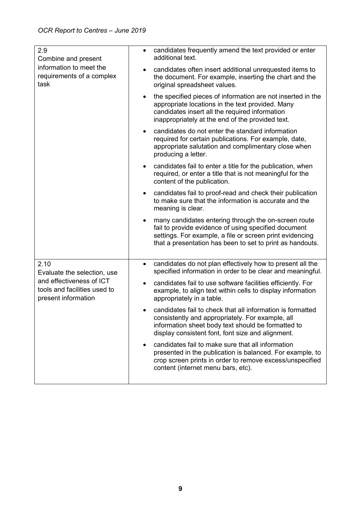| 2.9<br>Combine and present<br>information to meet the<br>requirements of a complex<br>task                             | candidates frequently amend the text provided or enter<br>$\bullet$<br>additional text.                                                                                                                                               |
|------------------------------------------------------------------------------------------------------------------------|---------------------------------------------------------------------------------------------------------------------------------------------------------------------------------------------------------------------------------------|
|                                                                                                                        | candidates often insert additional unrequested items to<br>the document. For example, inserting the chart and the<br>original spreadsheet values.                                                                                     |
|                                                                                                                        | the specified pieces of information are not inserted in the<br>$\bullet$<br>appropriate locations in the text provided. Many<br>candidates insert all the required information<br>inappropriately at the end of the provided text.    |
|                                                                                                                        | candidates do not enter the standard information<br>required for certain publications. For example, date,<br>appropriate salutation and complimentary close when<br>producing a letter.                                               |
|                                                                                                                        | candidates fail to enter a title for the publication, when<br>$\bullet$<br>required, or enter a title that is not meaningful for the<br>content of the publication.                                                                   |
|                                                                                                                        | candidates fail to proof-read and check their publication<br>to make sure that the information is accurate and the<br>meaning is clear.                                                                                               |
|                                                                                                                        | many candidates entering through the on-screen route<br>fail to provide evidence of using specified document<br>settings. For example, a file or screen print evidencing<br>that a presentation has been to set to print as handouts. |
| 2.10<br>Evaluate the selection, use<br>and effectiveness of ICT<br>tools and facilities used to<br>present information | candidates do not plan effectively how to present all the<br>$\bullet$<br>specified information in order to be clear and meaningful.                                                                                                  |
|                                                                                                                        | candidates fail to use software facilities efficiently. For<br>$\bullet$<br>example, to align text within cells to display information<br>appropriately in a table.                                                                   |
|                                                                                                                        | candidates fail to check that all information is formatted<br>consistently and appropriately. For example, all<br>information sheet body text should be formatted to<br>display consistent font, font size and alignment.             |
|                                                                                                                        | candidates fail to make sure that all information<br>presented in the publication is balanced. For example, to<br>crop screen prints in order to remove excess/unspecified<br>content (internet menu bars, etc).                      |
|                                                                                                                        |                                                                                                                                                                                                                                       |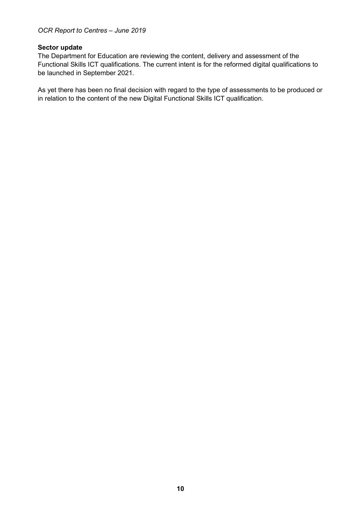#### <span id="page-9-0"></span>**Sector update**

The Department for Education are reviewing the content, delivery and assessment of the Functional Skills ICT qualifications. The current intent is for the reformed digital qualifications to be launched in September 2021.

As yet there has been no final decision with regard to the type of assessments to be produced or in relation to the content of the new Digital Functional Skills ICT qualification.